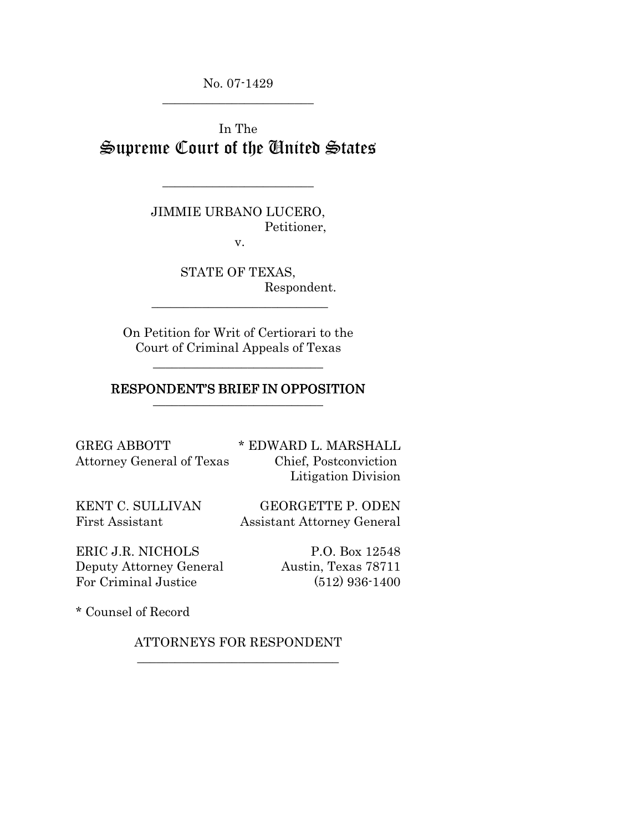No. 07-1429 \_\_\_\_\_\_\_\_\_\_\_\_\_\_\_\_\_\_\_\_\_\_\_\_

In The Supreme Court of the United States

> JIMMIE URBANO LUCERO, Petitioner,

\_\_\_\_\_\_\_\_\_\_\_\_\_\_\_\_\_\_\_\_\_\_\_\_

v.

STATE OF TEXAS, Respondent.

On Petition for Writ of Certiorari to the Court of Criminal Appeals of Texas

\_\_\_\_\_\_\_\_\_\_\_\_\_\_\_\_\_\_\_\_\_\_\_\_\_\_\_

#### RESPONDENT'S BRIEF IN OPPOSITION \_\_\_\_\_\_\_\_\_\_\_\_\_\_\_\_\_\_\_\_\_\_\_\_\_\_\_

GREG ABBOTT  $*$  EDWARD L. MARSHALL Attorney General of Texas Chief, Postconviction

Litigation Division

KENT C. SULLIVAN GEORGETTE P. ODEN First Assistant Assistant Attorney General

ERIC J.R. NICHOLS P.O. Box 12548 Deputy Attorney General Austin, Texas 78711 For Criminal Justice (512) 936-1400

\* Counsel of Record

ATTORNEYS FOR RESPONDENT \_\_\_\_\_\_\_\_\_\_\_\_\_\_\_\_\_\_\_\_\_\_\_\_\_\_\_\_\_\_\_\_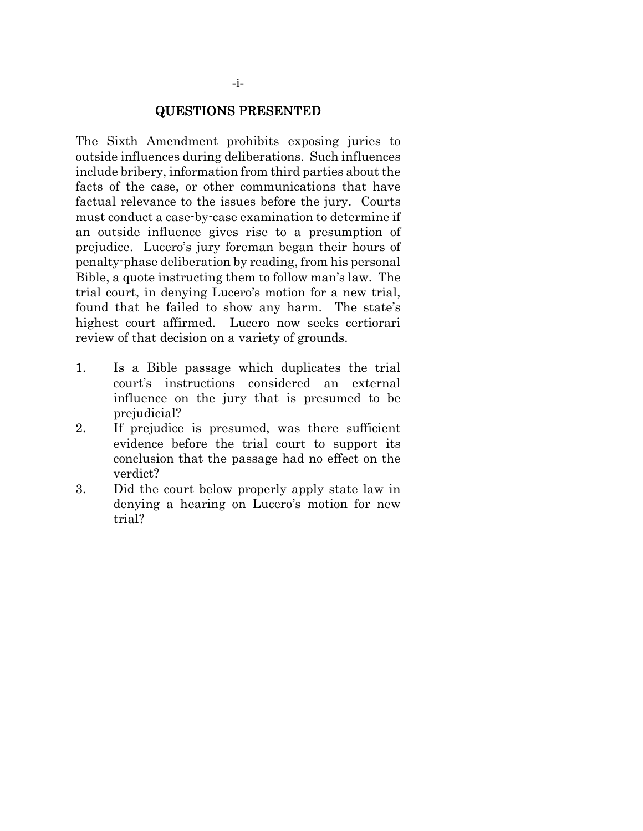#### QUESTIONS PRESENTED

The Sixth Amendment prohibits exposing juries to outside influences during deliberations. Such influences include bribery, information from third parties about the facts of the case, or other communications that have factual relevance to the issues before the jury. Courts must conduct a case-by-case examination to determine if an outside influence gives rise to a presumption of prejudice. Lucero's jury foreman began their hours of penalty-phase deliberation by reading, from his personal Bible, a quote instructing them to follow man's law. The trial court, in denying Lucero's motion for a new trial, found that he failed to show any harm. The state's highest court affirmed. Lucero now seeks certiorari review of that decision on a variety of grounds.

- 1. Is a Bible passage which duplicates the trial court's instructions considered an external influence on the jury that is presumed to be prejudicial?
- 2. If prejudice is presumed, was there sufficient evidence before the trial court to support its conclusion that the passage had no effect on the verdict?
- 3. Did the court below properly apply state law in denying a hearing on Lucero's motion for new trial?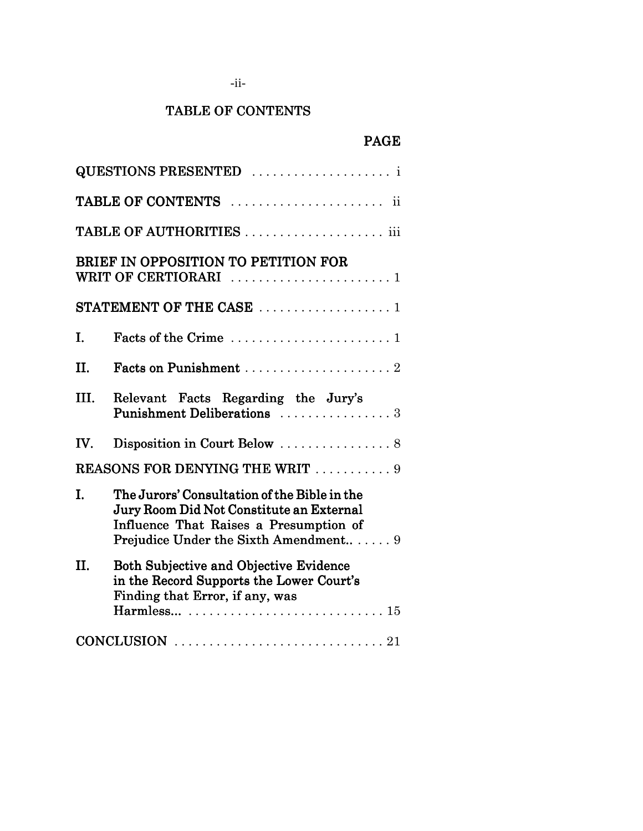# TABLE OF CONTENTS

# PAGE

| <b>QUESTIONS PRESENTED</b> i                                                                                                                                                      |
|-----------------------------------------------------------------------------------------------------------------------------------------------------------------------------------|
|                                                                                                                                                                                   |
|                                                                                                                                                                                   |
| BRIEF IN OPPOSITION TO PETITION FOR                                                                                                                                               |
| STATEMENT OF THE CASE $\ldots \ldots \ldots \ldots \ldots \ldots$                                                                                                                 |
| I.                                                                                                                                                                                |
| II.                                                                                                                                                                               |
| III.<br>Relevant Facts Regarding the Jury's<br>Punishment Deliberations  3                                                                                                        |
| Disposition in Court Below $\ldots \ldots \ldots \ldots \ldots$ 8<br>IV.                                                                                                          |
| <b>REASONS FOR DENYING THE WRIT</b> 9                                                                                                                                             |
| Ī.<br>The Jurors' Consultation of the Bible in the<br>Jury Room Did Not Constitute an External<br>Influence That Raises a Presumption of<br>Prejudice Under the Sixth Amendment 9 |
| II.<br><b>Both Subjective and Objective Evidence</b><br>in the Record Supports the Lower Court's<br>Finding that Error, if any, was                                               |
| CONCLUSION $\ldots \ldots \ldots \ldots \ldots \ldots \ldots \ldots \ldots \ldots 21$                                                                                             |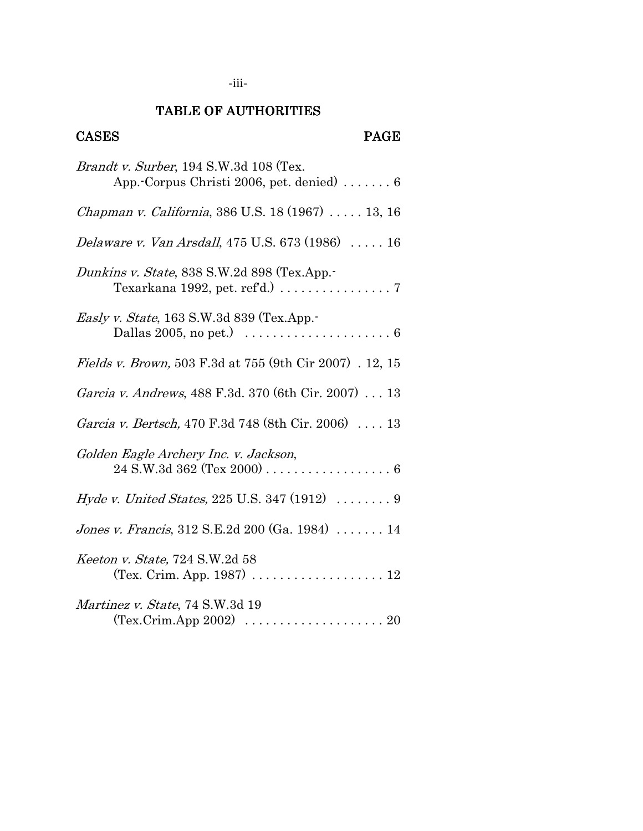## -iii-

# TABLE OF AUTHORITIES

# CASES PAGE

| <i>Brandt v. Surber</i> , 194 S.W.3d 108 (Tex.<br>App. Corpus Christi 2006, pet. denied) $\dots \dots 6$                    |
|-----------------------------------------------------------------------------------------------------------------------------|
| Chapman v. California, 386 U.S. 18 (1967)  13, 16                                                                           |
| <i>Delaware v. Van Arsdall</i> , 475 U.S. 673 (1986)  16                                                                    |
| Dunkins v. State, 838 S.W.2d 898 (Tex.App.-<br>Texarkana 1992, pet. ref'd.) $\ldots \ldots \ldots \ldots \ldots$            |
| <i>Easly v. State</i> , 163 S.W.3d 839 (Tex.App.<br>Dallas 2005, no pet.) $\dots \dots \dots \dots \dots \dots \dots \dots$ |
| <i>Fields v. Brown</i> , 503 F.3d at 755 (9th Cir 2007). 12, 15                                                             |
| <i>Garcia v. Andrews</i> , 488 F.3d. 370 (6th Cir. 2007) 13                                                                 |
| Garcia v. Bertsch, 470 F.3d 748 (8th Cir. 2006)  13                                                                         |
| Golden Eagle Archery Inc. v. Jackson,                                                                                       |
| <i>Hyde v. United States, 225 U.S. 347 (1912)  9</i>                                                                        |
| <i>Jones v. Francis</i> , $312$ S.E.2d $200$ (Ga. 1984) $\dots \dots 14$                                                    |
| Keeton v. State, 724 S.W.2d 58<br>(Tex. Crim. App. 1987) 12                                                                 |
| Martinez v. State, 74 S.W.3d 19<br>$(Tex.Crim. App 2002) \ldots \ldots \ldots \ldots \ldots \ldots 20$                      |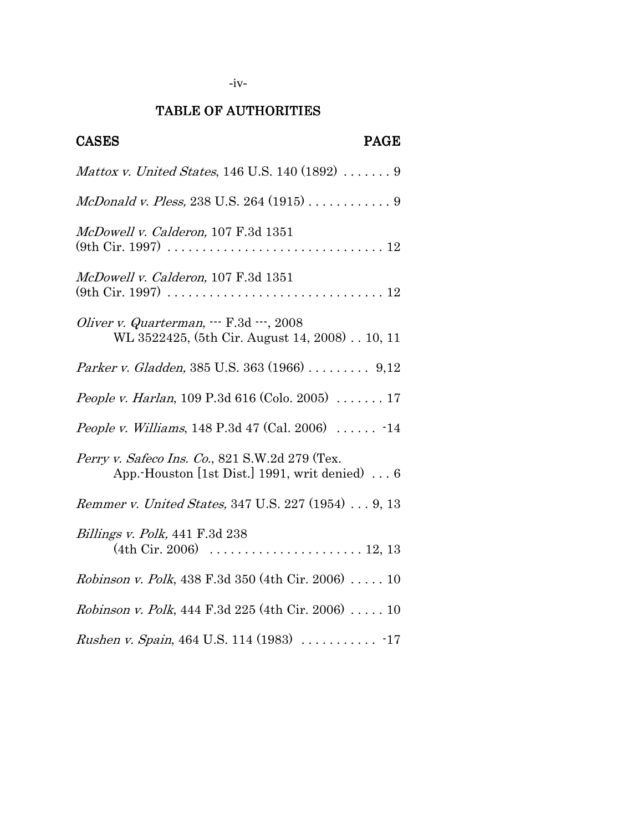# TABLE OF AUTHORITIES

| <b>CASES</b><br><b>PAGE</b>                                                                     |
|-------------------------------------------------------------------------------------------------|
| Mattox v. United States, 146 U.S. 140 (1892)  9                                                 |
| McDonald v. Pless, 238 U.S. 264 (1915)  9                                                       |
| McDowell v. Calderon, 107 F.3d 1351                                                             |
| McDowell v. Calderon, 107 F.3d 1351                                                             |
| Oliver v. Quarterman,  F.3d , 2008<br>WL 3522425, (5th Cir. August 14, 2008) 10, 11             |
| Parker v. Gladden, 385 U.S. 363 (1966)  9,12                                                    |
| <i>People v. Harlan</i> , 109 P.3d 616 (Colo. 2005) $\ldots \ldots 17$                          |
| <i>People v. Williams</i> , 148 P.3d 47 (Cal. 2006) $\ldots \ldots$ 14                          |
| Perry v. Safeco Ins. Co., 821 S.W.2d 279 (Tex.<br>App. Houston [1st Dist.] 1991, writ denied) 6 |
| <i>Remmer v. United States, 347 U.S. 227 (1954)  9, 13</i>                                      |
| <i>Billings v. Polk, 441 F.3d 238</i>                                                           |
| <i>Robinson v. Polk</i> , 438 F.3d 350 (4th Cir. 2006) 10                                       |
| <i>Robinson v. Polk</i> , 444 F.3d 225 (4th Cir. 2006) 10                                       |
|                                                                                                 |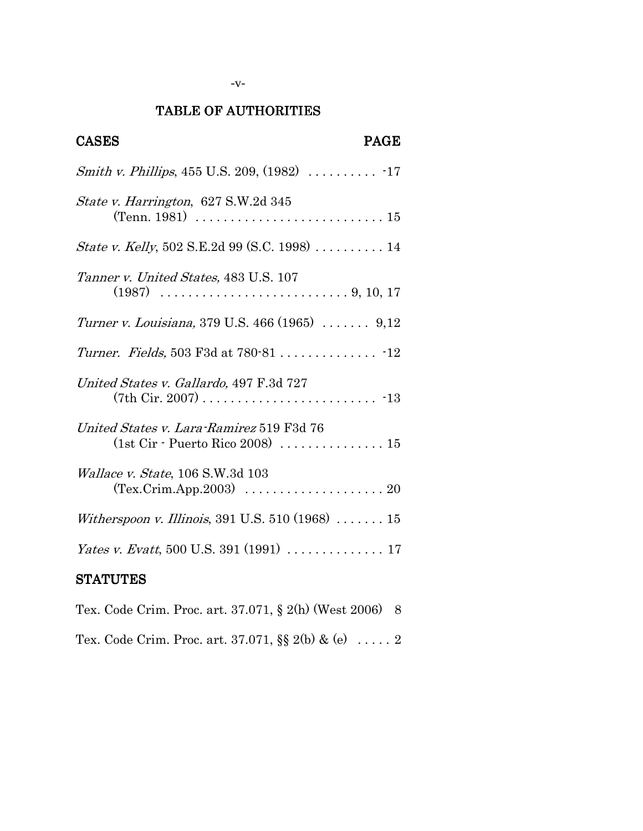# TABLE OF AUTHORITIES

| <b>CASES</b><br><b>PAGE</b>                                                                                                |
|----------------------------------------------------------------------------------------------------------------------------|
|                                                                                                                            |
| State v. Harrington, 627 S.W.2d 345<br>(Tenn. 1981) $\ldots \ldots \ldots \ldots \ldots \ldots \ldots \ldots \ldots 15$    |
| <i>State v. Kelly</i> , 502 S.E.2d 99 (S.C. 1998) 14                                                                       |
| Tanner v. United States, 483 U.S. 107                                                                                      |
| Turner v. Louisiana, 379 U.S. 466 (1965)  9,12                                                                             |
|                                                                                                                            |
| United States v. Gallardo, 497 F.3d 727                                                                                    |
| United States v. Lara-Ramirez 519 F3d 76<br>(1st $C$ ir - Puerto Rico 2008)  15                                            |
| Wallace v. State, 106 S.W.3d 103<br>$(Tex.Crim. App. 2003) \dots \dots \dots \dots \dots \dots \dots \dots \dots \dots 20$ |
| Witherspoon v. Illinois, 391 U.S. 510 (1968)  15                                                                           |
| <i>Yates v. Evatt</i> , 500 U.S. 391 (1991) 17                                                                             |
| <b>STATUTES</b>                                                                                                            |

|  |  | Tex. Code Crim. Proc. art. $37.071$ , $\S 2(h)$ (West 2006) 8 |  |  |  |
|--|--|---------------------------------------------------------------|--|--|--|
|  |  | Tex. Code Crim. Proc. art. 37.071, §§ 2(b) & (e)  2           |  |  |  |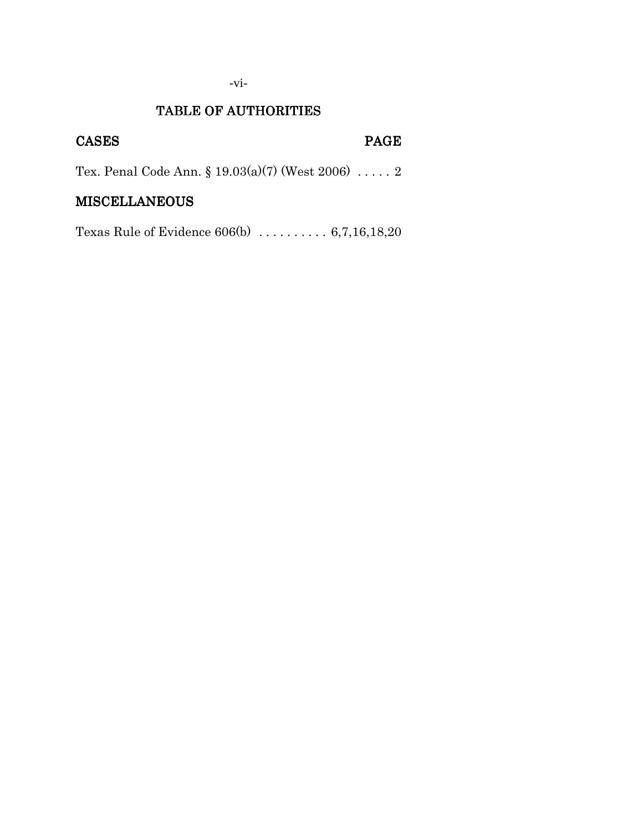# -vi-

## TABLE OF AUTHORITIES

# CASES PAGE

Tex. Penal Code Ann. § 19.03(a)(7) (West 2006) . . . . . 2

## MISCELLANEOUS

Texas Rule of Evidence 606(b) . . . . . . . . . . 6,7,16,18,20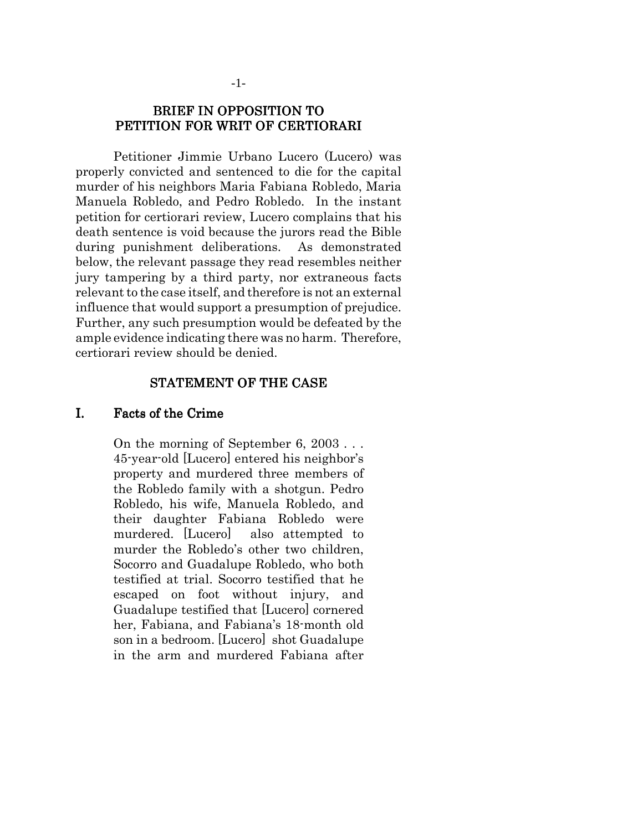## BRIEF IN OPPOSITION TO PETITION FOR WRIT OF CERTIORARI

Petitioner Jimmie Urbano Lucero (Lucero) was properly convicted and sentenced to die for the capital murder of his neighbors Maria Fabiana Robledo, Maria Manuela Robledo, and Pedro Robledo. In the instant petition for certiorari review, Lucero complains that his death sentence is void because the jurors read the Bible during punishment deliberations. As demonstrated below, the relevant passage they read resembles neither jury tampering by a third party, nor extraneous facts relevant to the case itself, and therefore is not an external influence that would support a presumption of prejudice. Further, any such presumption would be defeated by the ample evidence indicating there was no harm. Therefore, certiorari review should be denied.

#### STATEMENT OF THE CASE

#### I. Facts of the Crime

On the morning of September 6, 2003 . . . 45-year-old [Lucero] entered his neighbor's property and murdered three members of the Robledo family with a shotgun. Pedro Robledo, his wife, Manuela Robledo, and their daughter Fabiana Robledo were murdered. [Lucero] also attempted to murder the Robledo's other two children, Socorro and Guadalupe Robledo, who both testified at trial. Socorro testified that he escaped on foot without injury, and Guadalupe testified that [Lucero] cornered her, Fabiana, and Fabiana's 18-month old son in a bedroom. [Lucero] shot Guadalupe in the arm and murdered Fabiana after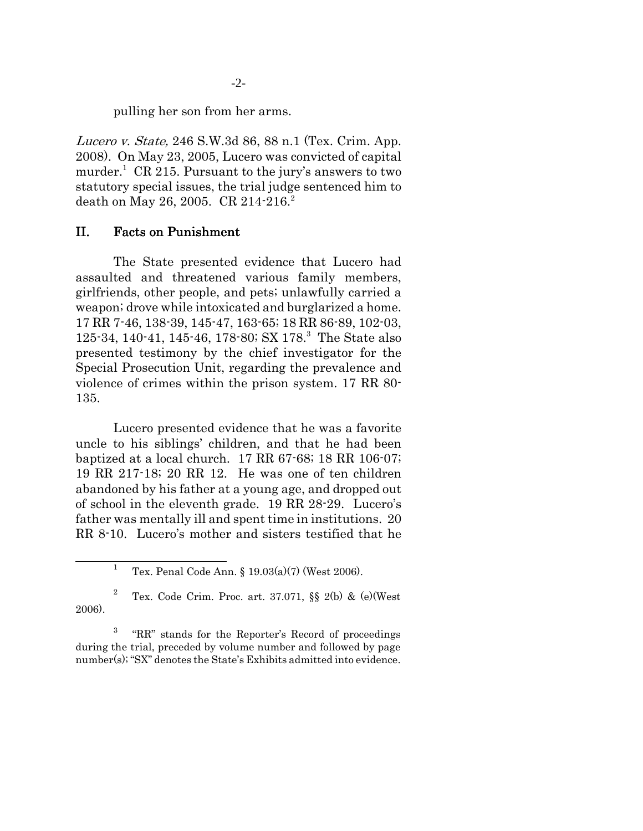pulling her son from her arms.

Lucero v. State, 246 S.W.3d 86, 88 n.1 (Tex. Crim. App. 2008). On May 23, 2005, Lucero was convicted of capital murder.<sup>1</sup> CR 215. Pursuant to the jury's answers to two statutory special issues, the trial judge sentenced him to death on May 26, 2005. CR 214-216.<sup>2</sup>

## II. Facts on Punishment

The State presented evidence that Lucero had assaulted and threatened various family members, girlfriends, other people, and pets; unlawfully carried a weapon; drove while intoxicated and burglarized a home. 17 RR 7-46, 138-39, 145-47, 163-65; 18 RR 86-89, 102-03, 125-34, 140-41, 145-46, 178-80; SX 178.<sup>3</sup> The State also presented testimony by the chief investigator for the Special Prosecution Unit, regarding the prevalence and violence of crimes within the prison system. 17 RR 80- 135.

Lucero presented evidence that he was a favorite uncle to his siblings' children, and that he had been baptized at a local church. 17 RR 67-68; 18 RR 106-07; 19 RR 217-18; 20 RR 12. He was one of ten children abandoned by his father at a young age, and dropped out of school in the eleventh grade. 19 RR 28-29. Lucero's father was mentally ill and spent time in institutions. 20 RR 8-10. Lucero's mother and sisters testified that he

<sup>1</sup> Tex. Penal Code Ann. § 19.03(a)(7) (West 2006).

<sup>2</sup> Tex. Code Crim. Proc. art. 37.071, §§ 2(b) & (e)(West 2006).

<sup>3</sup> "RR" stands for the Reporter's Record of proceedings during the trial, preceded by volume number and followed by page number(s); "SX" denotes the State's Exhibits admitted into evidence.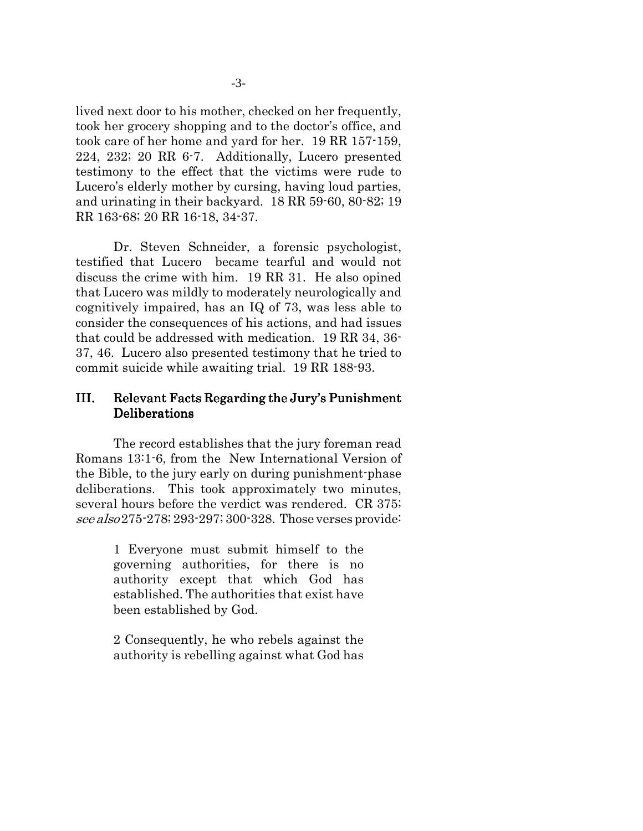lived next door to his mother, checked on her frequently, took her grocery shopping and to the doctor's office, and took care of her home and yard for her. 19 RR 157-159, 224, 232; 20 RR 6-7. Additionally, Lucero presented testimony to the effect that the victims were rude to Lucero's elderly mother by cursing, having loud parties, and urinating in their backyard. 18 RR 59-60, 80-82; 19 RR 163-68; 20 RR 16-18, 34-37.

Dr. Steven Schneider, a forensic psychologist, testified that Lucero became tearful and would not discuss the crime with him. 19 RR 31. He also opined that Lucero was mildly to moderately neurologically and cognitively impaired, has an IQ of 73, was less able to consider the consequences of his actions, and had issues that could be addressed with medication. 19 RR 34, 36- 37, 46. Lucero also presented testimony that he tried to commit suicide while awaiting trial. 19 RR 188-93.

## III. Relevant Facts Regarding the Jury's Punishment Deliberations

The record establishes that the jury foreman read Romans 13:1-6, from the New International Version of the Bible, to the jury early on during punishment-phase deliberations. This took approximately two minutes, several hours before the verdict was rendered. CR 375; see also 275-278; 293-297; 300-328. Those verses provide:

> 1 Everyone must submit himself to the governing authorities, for there is no authority except that which God has established. The authorities that exist have been established by God.

> 2 Consequently, he who rebels against the authority is rebelling against what God has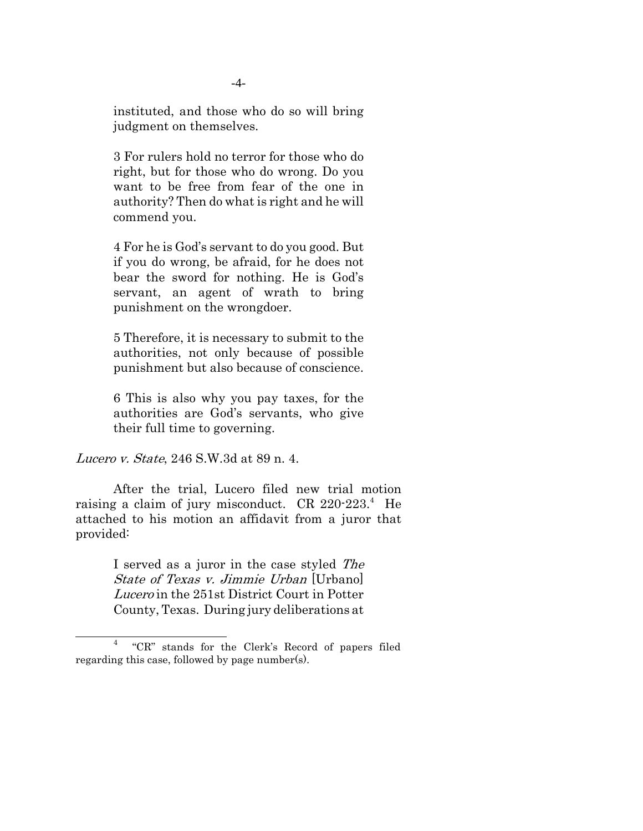instituted, and those who do so will bring judgment on themselves.

3 For rulers hold no terror for those who do right, but for those who do wrong. Do you want to be free from fear of the one in authority? Then do what is right and he will commend you.

4 For he is God's servant to do you good. But if you do wrong, be afraid, for he does not bear the sword for nothing. He is God's servant, an agent of wrath to bring punishment on the wrongdoer.

5 Therefore, it is necessary to submit to the authorities, not only because of possible punishment but also because of conscience.

6 This is also why you pay taxes, for the authorities are God's servants, who give their full time to governing.

Lucero v. State, 246 S.W.3d at 89 n. 4.

After the trial, Lucero filed new trial motion raising a claim of jury misconduct. CR 220-223.<sup>4</sup> He attached to his motion an affidavit from a juror that provided:

> I served as a juror in the case styled The State of Texas v. Jimmie Urban [Urbano] Lucero in the 251st District Court in Potter County, Texas. During jury deliberations at

<sup>4</sup> "CR" stands for the Clerk's Record of papers filed regarding this case, followed by page number(s).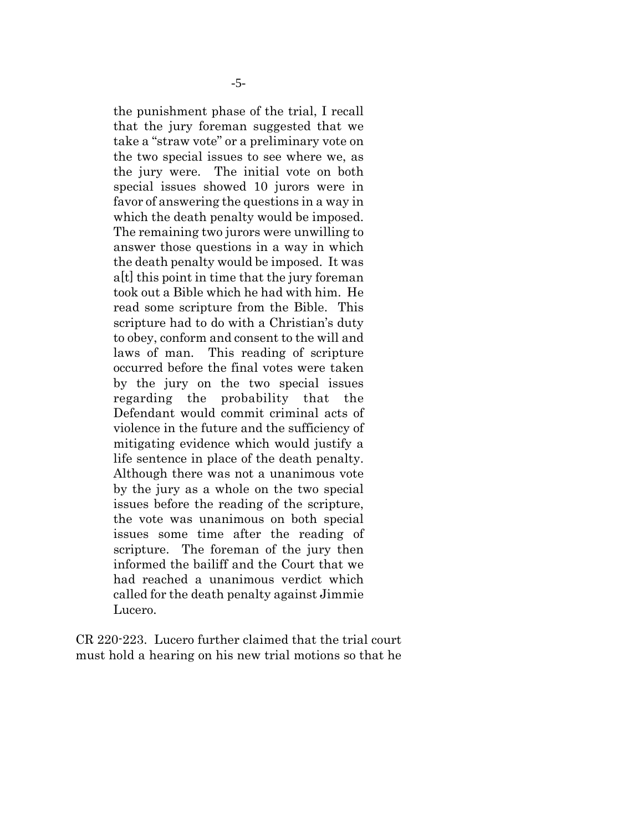the punishment phase of the trial, I recall that the jury foreman suggested that we take a "straw vote" or a preliminary vote on the two special issues to see where we, as the jury were. The initial vote on both special issues showed 10 jurors were in favor of answering the questions in a way in which the death penalty would be imposed. The remaining two jurors were unwilling to answer those questions in a way in which the death penalty would be imposed. It was a[t] this point in time that the jury foreman took out a Bible which he had with him. He read some scripture from the Bible. This scripture had to do with a Christian's duty to obey, conform and consent to the will and laws of man. This reading of scripture occurred before the final votes were taken by the jury on the two special issues regarding the probability that the Defendant would commit criminal acts of violence in the future and the sufficiency of mitigating evidence which would justify a life sentence in place of the death penalty. Although there was not a unanimous vote by the jury as a whole on the two special issues before the reading of the scripture, the vote was unanimous on both special issues some time after the reading of scripture. The foreman of the jury then informed the bailiff and the Court that we had reached a unanimous verdict which called for the death penalty against Jimmie Lucero.

CR 220-223. Lucero further claimed that the trial court must hold a hearing on his new trial motions so that he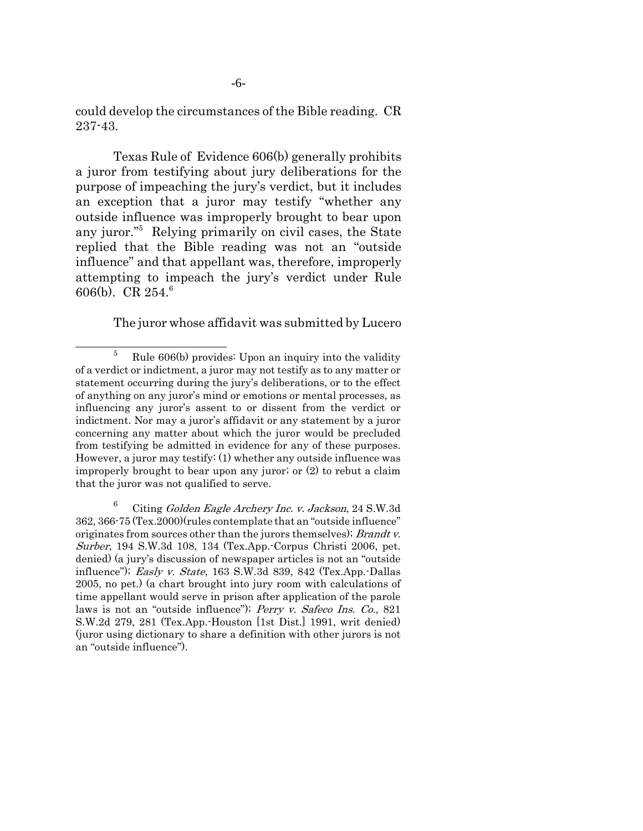could develop the circumstances of the Bible reading. CR 237-43.

Texas Rule of Evidence 606(b) generally prohibits a juror from testifying about jury deliberations for the purpose of impeaching the jury's verdict, but it includes an exception that a juror may testify "whether any outside influence was improperly brought to bear upon any juror."<sup>5</sup> Relying primarily on civil cases, the State replied that the Bible reading was not an "outside influence" and that appellant was, therefore, improperly attempting to impeach the jury's verdict under Rule 606(b). CR 254.<sup>6</sup>

The juror whose affidavit was submitted by Lucero

 $5$  Rule 606(b) provides: Upon an inquiry into the validity of a verdict or indictment, a juror may not testify as to any matter or statement occurring during the jury's deliberations, or to the effect of anything on any juror's mind or emotions or mental processes, as influencing any juror's assent to or dissent from the verdict or indictment. Nor may a juror's affidavit or any statement by a juror concerning any matter about which the juror would be precluded from testifying be admitted in evidence for any of these purposes. However, a juror may testify: (1) whether any outside influence was improperly brought to bear upon any juror; or (2) to rebut a claim that the juror was not qualified to serve.

 $6$  Citing Golden Eagle Archery Inc. v. Jackson, 24 S.W.3d 362, 366-75 (Tex.2000)(rules contemplate that an "outside influence" originates from sources other than the jurors themselves); *Brandt v.* Surber, 194 S.W.3d 108, 134 (Tex.App.-Corpus Christi 2006, pet. denied) (a jury's discussion of newspaper articles is not an "outside influence"); Easly v. State, 163 S.W.3d 839, 842 (Tex.App.-Dallas 2005, no pet.) (a chart brought into jury room with calculations of time appellant would serve in prison after application of the parole laws is not an "outside influence"); Perry v. Safeco Ins. Co., 821 S.W.2d 279, 281 (Tex.App.-Houston [1st Dist.] 1991, writ denied) (juror using dictionary to share a definition with other jurors is not an "outside influence").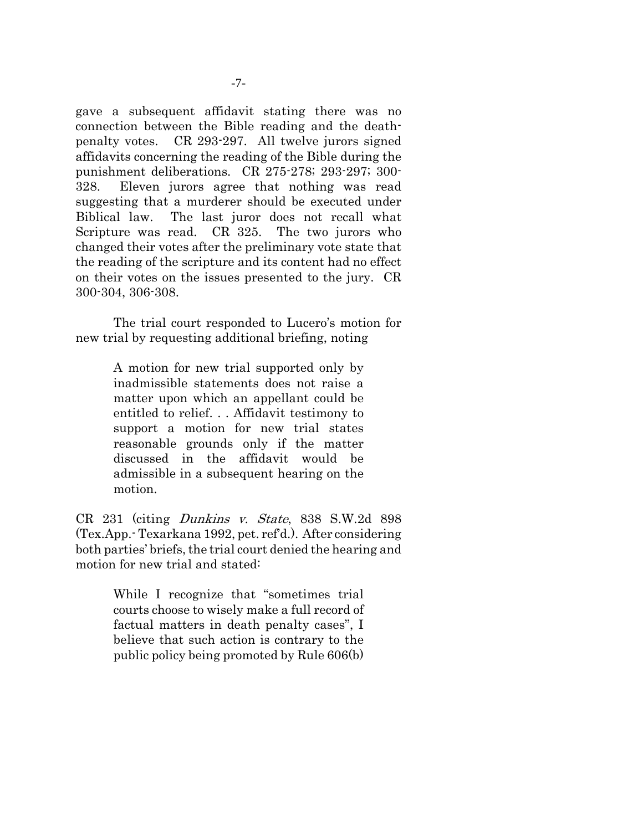gave a subsequent affidavit stating there was no connection between the Bible reading and the deathpenalty votes. CR 293-297. All twelve jurors signed affidavits concerning the reading of the Bible during the punishment deliberations. CR 275-278; 293-297; 300- 328. Eleven jurors agree that nothing was read suggesting that a murderer should be executed under Biblical law. The last juror does not recall what Scripture was read. CR 325. The two jurors who changed their votes after the preliminary vote state that the reading of the scripture and its content had no effect on their votes on the issues presented to the jury. CR 300-304, 306-308.

The trial court responded to Lucero's motion for new trial by requesting additional briefing, noting

> A motion for new trial supported only by inadmissible statements does not raise a matter upon which an appellant could be entitled to relief. . . Affidavit testimony to support a motion for new trial states reasonable grounds only if the matter discussed in the affidavit would be admissible in a subsequent hearing on the motion.

CR 231 (citing Dunkins v. State, 838 S.W.2d 898 (Tex.App.- Texarkana 1992, pet. ref'd.). After considering both parties' briefs, the trial court denied the hearing and motion for new trial and stated:

> While I recognize that "sometimes trial courts choose to wisely make a full record of factual matters in death penalty cases", I believe that such action is contrary to the public policy being promoted by Rule 606(b)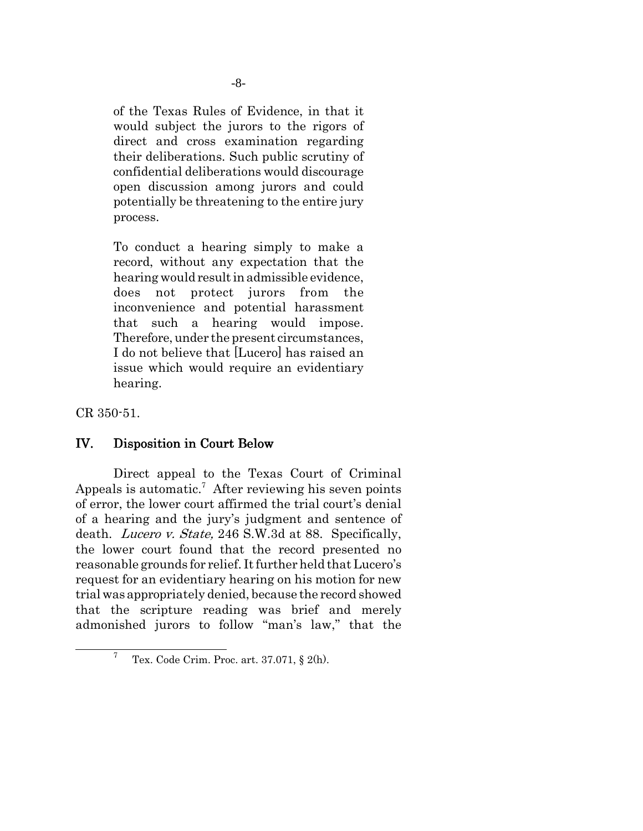of the Texas Rules of Evidence, in that it would subject the jurors to the rigors of direct and cross examination regarding their deliberations. Such public scrutiny of confidential deliberations would discourage open discussion among jurors and could potentially be threatening to the entire jury process.

To conduct a hearing simply to make a record, without any expectation that the hearing would result in admissible evidence, does not protect jurors from the inconvenience and potential harassment that such a hearing would impose. Therefore, under the present circumstances, I do not believe that [Lucero] has raised an issue which would require an evidentiary hearing.

CR 350-51.

## IV. Disposition in Court Below

Direct appeal to the Texas Court of Criminal Appeals is automatic.<sup>7</sup> After reviewing his seven points of error, the lower court affirmed the trial court's denial of a hearing and the jury's judgment and sentence of death. Lucero v. State, 246 S.W.3d at 88. Specifically, the lower court found that the record presented no reasonable grounds for relief. It further held that Lucero's request for an evidentiary hearing on his motion for new trial was appropriately denied, because the record showed that the scripture reading was brief and merely admonished jurors to follow "man's law," that the

<sup>7</sup> Tex. Code Crim. Proc. art. 37.071, § 2(h).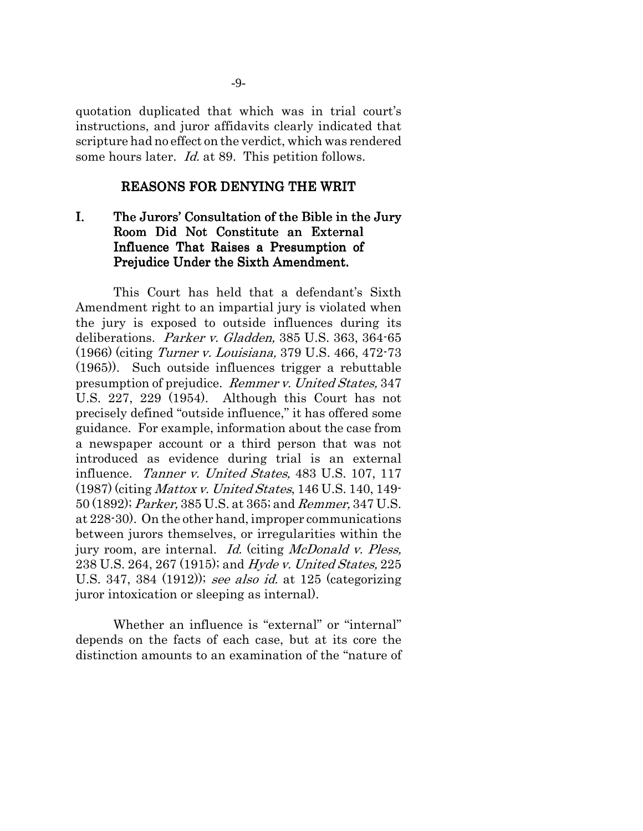quotation duplicated that which was in trial court's instructions, and juror affidavits clearly indicated that scripture had no effect on the verdict, which was rendered some hours later. *Id.* at 89. This petition follows.

### REASONS FOR DENYING THE WRIT

## I. The Jurors' Consultation of the Bible in the Jury Room Did Not Constitute an External Influence That Raises a Presumption of Prejudice Under the Sixth Amendment.

This Court has held that a defendant's Sixth Amendment right to an impartial jury is violated when the jury is exposed to outside influences during its deliberations. Parker v. Gladden, 385 U.S. 363, 364-65 (1966) (citing Turner v. Louisiana, 379 U.S. 466, 472-73 (1965)). Such outside influences trigger a rebuttable presumption of prejudice. Remmer v. United States, 347 U.S. 227, 229 (1954). Although this Court has not precisely defined "outside influence," it has offered some guidance. For example, information about the case from a newspaper account or a third person that was not introduced as evidence during trial is an external influence. Tanner v. United States, 483 U.S. 107, 117 (1987) (citing Mattox v. United States, 146 U.S. 140, 149- 50 (1892); Parker, 385 U.S. at 365; and Remmer, 347 U.S. at 228-30). On the other hand, improper communications between jurors themselves, or irregularities within the jury room, are internal. *Id.* (citing *McDonald v. Pless,* 238 U.S. 264, 267 (1915); and Hyde v. United States, 225 U.S. 347, 384 (1912)); see also id. at 125 (categorizing juror intoxication or sleeping as internal).

Whether an influence is "external" or "internal" depends on the facts of each case, but at its core the distinction amounts to an examination of the "nature of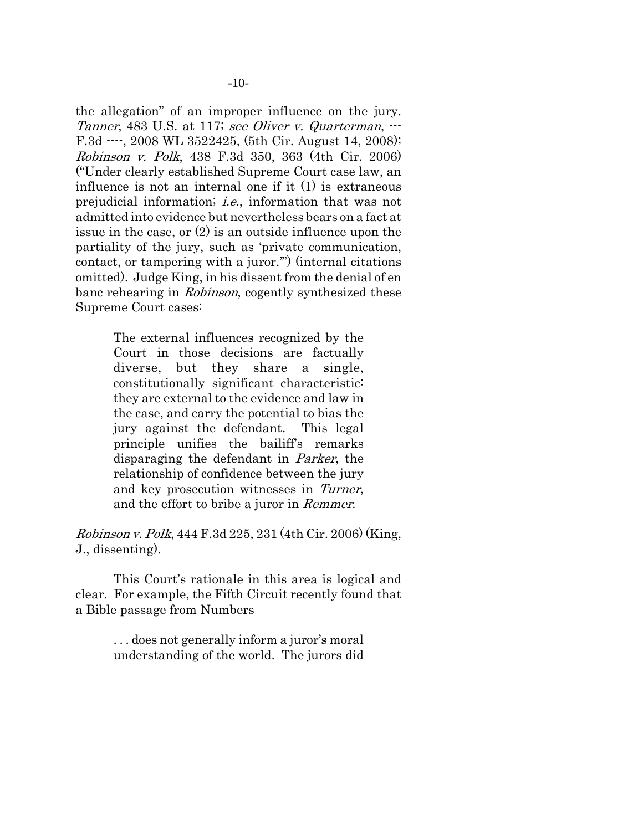the allegation" of an improper influence on the jury. Tanner, 483 U.S. at 117; see Oliver v. Quarterman,  $\cdots$ F.3d ----, 2008 WL 3522425, (5th Cir. August 14, 2008); Robinson v. Polk, 438 F.3d 350, 363 (4th Cir. 2006) ("Under clearly established Supreme Court case law, an influence is not an internal one if it (1) is extraneous prejudicial information; i.e., information that was not admitted into evidence but nevertheless bears on a fact at issue in the case, or (2) is an outside influence upon the partiality of the jury, such as 'private communication, contact, or tampering with a juror.'") (internal citations omitted). Judge King, in his dissent from the denial of en banc rehearing in Robinson, cogently synthesized these Supreme Court cases:

> The external influences recognized by the Court in those decisions are factually diverse, but they share a single, constitutionally significant characteristic: they are external to the evidence and law in the case, and carry the potential to bias the jury against the defendant. This legal principle unifies the bailiff's remarks disparaging the defendant in Parker, the relationship of confidence between the jury and key prosecution witnesses in Turner, and the effort to bribe a juror in Remmer.

Robinson v. Polk, 444 F.3d 225, 231 (4th Cir. 2006) (King, J., dissenting).

This Court's rationale in this area is logical and clear. For example, the Fifth Circuit recently found that a Bible passage from Numbers

> . . . does not generally inform a juror's moral understanding of the world. The jurors did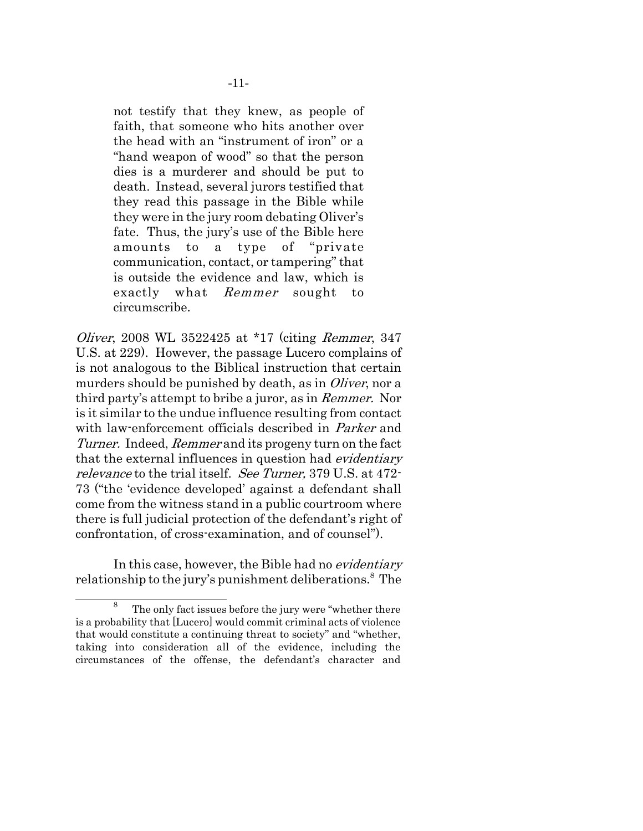not testify that they knew, as people of faith, that someone who hits another over the head with an "instrument of iron" or a "hand weapon of wood" so that the person dies is a murderer and should be put to death. Instead, several jurors testified that they read this passage in the Bible while they were in the jury room debating Oliver's fate. Thus, the jury's use of the Bible here amounts to a type of "private communication, contact, or tampering" that is outside the evidence and law, which is exactly what Remmer sought to circumscribe.

*Oliver*, 2008 WL 3522425 at \*17 (citing *Remmer*, 347 U.S. at 229). However, the passage Lucero complains of is not analogous to the Biblical instruction that certain murders should be punished by death, as in Oliver, nor a third party's attempt to bribe a juror, as in Remmer. Nor is it similar to the undue influence resulting from contact with law-enforcement officials described in *Parker* and Turner. Indeed, Remmer and its progeny turn on the fact that the external influences in question had evidentiary relevance to the trial itself. See Turner, 379 U.S. at 472-73 ("the 'evidence developed' against a defendant shall come from the witness stand in a public courtroom where there is full judicial protection of the defendant's right of confrontation, of cross-examination, and of counsel").

In this case, however, the Bible had no *evidentiary* relationship to the jury's punishment deliberations.<sup>8</sup> The

<sup>8</sup> The only fact issues before the jury were "whether there is a probability that [Lucero] would commit criminal acts of violence that would constitute a continuing threat to society" and "whether, taking into consideration all of the evidence, including the circumstances of the offense, the defendant's character and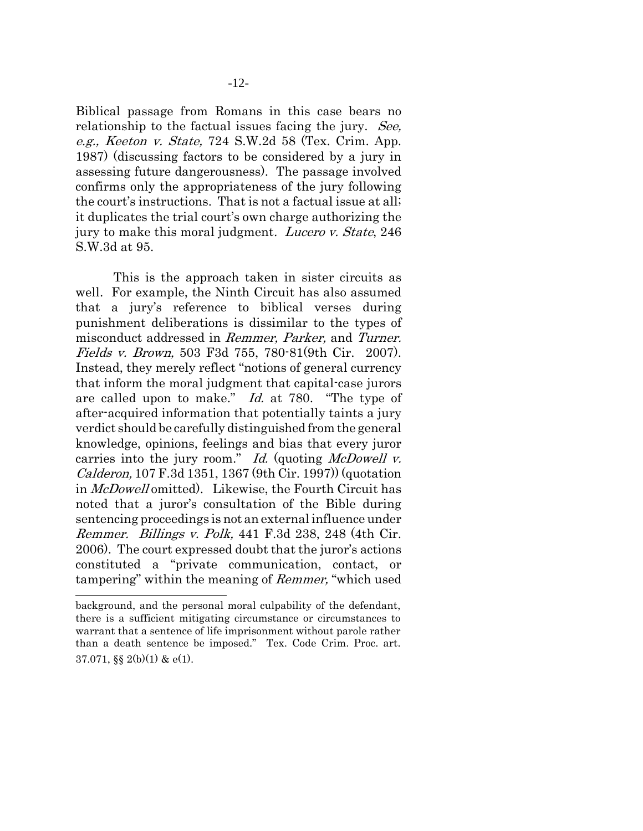Biblical passage from Romans in this case bears no relationship to the factual issues facing the jury. See, e.g., Keeton v. State, 724 S.W.2d 58 (Tex. Crim. App. 1987) (discussing factors to be considered by a jury in assessing future dangerousness). The passage involved confirms only the appropriateness of the jury following the court's instructions. That is not a factual issue at all; it duplicates the trial court's own charge authorizing the jury to make this moral judgment. Lucero v. State, 246 S.W.3d at 95.

This is the approach taken in sister circuits as well. For example, the Ninth Circuit has also assumed that a jury's reference to biblical verses during punishment deliberations is dissimilar to the types of misconduct addressed in Remmer, Parker, and Turner. Fields v. Brown, 503 F3d 755, 780-81(9th Cir. 2007). Instead, they merely reflect "notions of general currency that inform the moral judgment that capital-case jurors are called upon to make." Id. at 780. "The type of after-acquired information that potentially taints a jury verdict should be carefully distinguished from the general knowledge, opinions, feelings and bias that every juror carries into the jury room." Id. (quoting McDowell  $v$ . Calderon, 107 F.3d 1351, 1367 (9th Cir. 1997)) (quotation in McDowell omitted). Likewise, the Fourth Circuit has noted that a juror's consultation of the Bible during sentencing proceedings is not an external influence under Remmer. Billings v. Polk, 441 F.3d 238, 248 (4th Cir. 2006). The court expressed doubt that the juror's actions constituted a "private communication, contact, or tampering" within the meaning of Remmer, "which used

background, and the personal moral culpability of the defendant, there is a sufficient mitigating circumstance or circumstances to warrant that a sentence of life imprisonment without parole rather than a death sentence be imposed." Tex. Code Crim. Proc. art. 37.071,  $\S$  $(2(b)(1)$  &  $e(1)$ .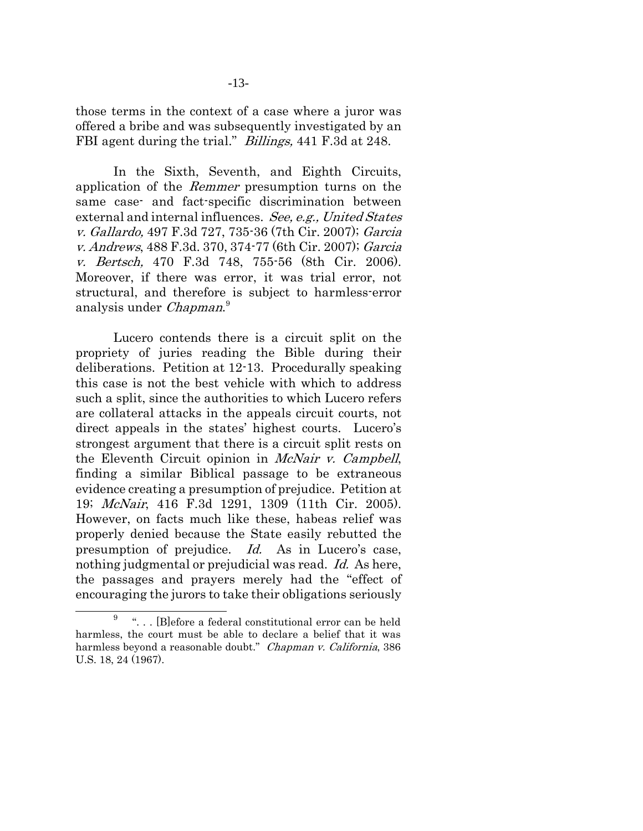those terms in the context of a case where a juror was offered a bribe and was subsequently investigated by an FBI agent during the trial." *Billings*, 441 F.3d at 248.

In the Sixth, Seventh, and Eighth Circuits, application of the Remmer presumption turns on the same case- and fact-specific discrimination between external and internal influences. See, e.g., United States v. Gallardo, 497 F.3d 727, 735-36 (7th Cir. 2007); Garcia v. Andrews, 488 F.3d. 370, 374-77 (6th Cir. 2007); Garcia v. Bertsch, 470 F.3d 748, 755-56 (8th Cir. 2006). Moreover, if there was error, it was trial error, not structural, and therefore is subject to harmless-error analysis under Chapman.<sup>9</sup>

Lucero contends there is a circuit split on the propriety of juries reading the Bible during their deliberations. Petition at 12-13. Procedurally speaking this case is not the best vehicle with which to address such a split, since the authorities to which Lucero refers are collateral attacks in the appeals circuit courts, not direct appeals in the states' highest courts. Lucero's strongest argument that there is a circuit split rests on the Eleventh Circuit opinion in McNair v. Campbell, finding a similar Biblical passage to be extraneous evidence creating a presumption of prejudice. Petition at 19; McNair, 416 F.3d 1291, 1309 (11th Cir. 2005). However, on facts much like these, habeas relief was properly denied because the State easily rebutted the presumption of prejudice. Id. As in Lucero's case, nothing judgmental or prejudicial was read. *Id.* As here, the passages and prayers merely had the "effect of encouraging the jurors to take their obligations seriously

<sup>9</sup> ". . . [B]efore a federal constitutional error can be held harmless, the court must be able to declare a belief that it was harmless beyond a reasonable doubt." Chapman v. California, 386 U.S. 18, 24 (1967).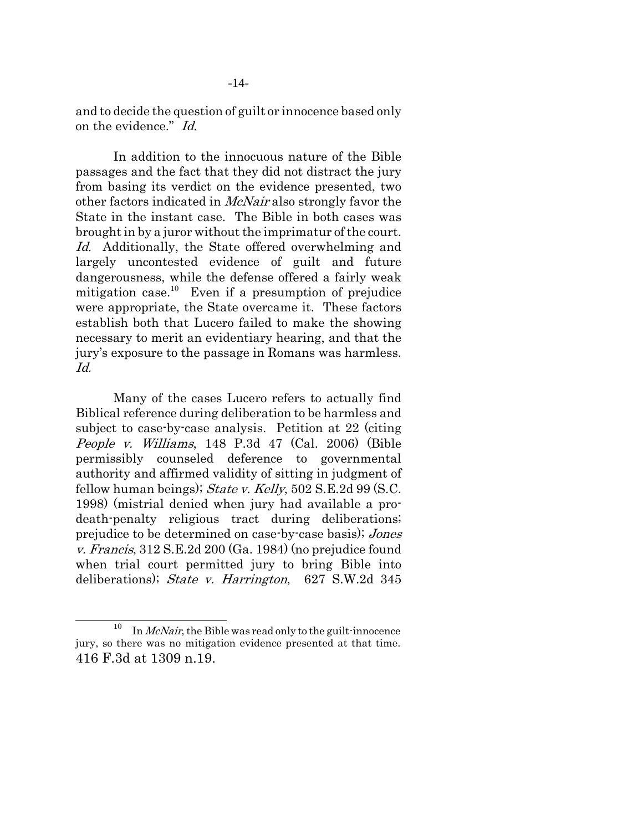and to decide the question of guilt or innocence based only on the evidence." Id.

In addition to the innocuous nature of the Bible passages and the fact that they did not distract the jury from basing its verdict on the evidence presented, two other factors indicated in McNair also strongly favor the State in the instant case. The Bible in both cases was brought in by a juror without the imprimatur of the court. Id. Additionally, the State offered overwhelming and largely uncontested evidence of guilt and future dangerousness, while the defense offered a fairly weak mitigation case.<sup>10</sup> Even if a presumption of prejudice were appropriate, the State overcame it. These factors establish both that Lucero failed to make the showing necessary to merit an evidentiary hearing, and that the jury's exposure to the passage in Romans was harmless. Id.

Many of the cases Lucero refers to actually find Biblical reference during deliberation to be harmless and subject to case-by-case analysis. Petition at 22 (citing People v. Williams, 148 P.3d 47 (Cal. 2006) (Bible permissibly counseled deference to governmental authority and affirmed validity of sitting in judgment of fellow human beings); *State v. Kelly*,  $502$  S.E.2d  $99$  (S.C. 1998) (mistrial denied when jury had available a prodeath-penalty religious tract during deliberations; prejudice to be determined on case-by-case basis); Jones v. Francis, 312 S.E.2d 200 (Ga. 1984) (no prejudice found when trial court permitted jury to bring Bible into deliberations); State v. Harrington, 627 S.W.2d 345

<sup>&</sup>lt;sup>10</sup> In *McNair*, the Bible was read only to the guilt-innocence jury, so there was no mitigation evidence presented at that time. 416 F.3d at 1309 n.19.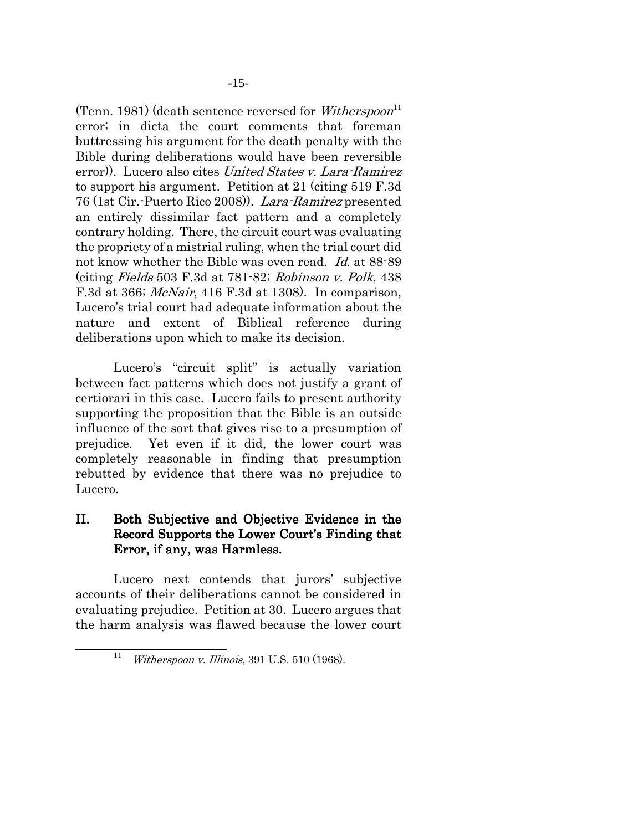(Tenn. 1981) (death sentence reversed for Witherspoon<sup>11</sup> error; in dicta the court comments that foreman buttressing his argument for the death penalty with the Bible during deliberations would have been reversible error). Lucero also cites United States v. Lara-Ramirez to support his argument. Petition at 21 (citing 519 F.3d 76 (1st Cir.-Puerto Rico 2008)). Lara-Ramirez presented an entirely dissimilar fact pattern and a completely contrary holding. There, the circuit court was evaluating the propriety of a mistrial ruling, when the trial court did not know whether the Bible was even read. Id. at 88-89 (citing Fields 503 F.3d at 781-82; Robinson v. Polk, 438 F.3d at 366; McNair, 416 F.3d at 1308). In comparison, Lucero's trial court had adequate information about the nature and extent of Biblical reference during deliberations upon which to make its decision.

Lucero's "circuit split" is actually variation between fact patterns which does not justify a grant of certiorari in this case. Lucero fails to present authority supporting the proposition that the Bible is an outside influence of the sort that gives rise to a presumption of prejudice. Yet even if it did, the lower court was completely reasonable in finding that presumption rebutted by evidence that there was no prejudice to Lucero.

## II. Both Subjective and Objective Evidence in the Record Supports the Lower Court's Finding that Error, if any, was Harmless.

Lucero next contends that jurors' subjective accounts of their deliberations cannot be considered in evaluating prejudice. Petition at 30. Lucero argues that the harm analysis was flawed because the lower court

<sup>&</sup>lt;sup>11</sup> Witherspoon v. Illinois, 391 U.S. 510 (1968).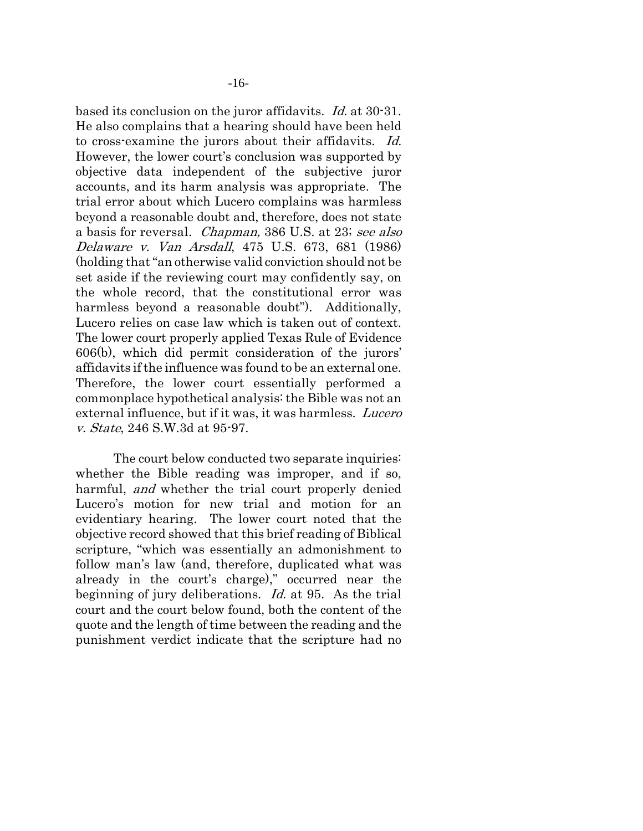based its conclusion on the juror affidavits. Id. at 30-31. He also complains that a hearing should have been held to cross-examine the jurors about their affidavits. Id. However, the lower court's conclusion was supported by objective data independent of the subjective juror accounts, and its harm analysis was appropriate. The trial error about which Lucero complains was harmless beyond a reasonable doubt and, therefore, does not state a basis for reversal. Chapman, 386 U.S. at 23; see also Delaware v. Van Arsdall, 475 U.S. 673, 681 (1986) (holding that "an otherwise valid conviction should not be set aside if the reviewing court may confidently say, on the whole record, that the constitutional error was harmless beyond a reasonable doubt"). Additionally, Lucero relies on case law which is taken out of context. The lower court properly applied Texas Rule of Evidence 606(b), which did permit consideration of the jurors' affidavits if the influence was found to be an external one. Therefore, the lower court essentially performed a commonplace hypothetical analysis: the Bible was not an external influence, but if it was, it was harmless. *Lucero* v. State, 246 S.W.3d at 95-97.

The court below conducted two separate inquiries: whether the Bible reading was improper, and if so, harmful, *and* whether the trial court properly denied Lucero's motion for new trial and motion for an evidentiary hearing. The lower court noted that the objective record showed that this brief reading of Biblical scripture, "which was essentially an admonishment to follow man's law (and, therefore, duplicated what was already in the court's charge)," occurred near the beginning of jury deliberations. Id. at 95. As the trial court and the court below found, both the content of the quote and the length of time between the reading and the punishment verdict indicate that the scripture had no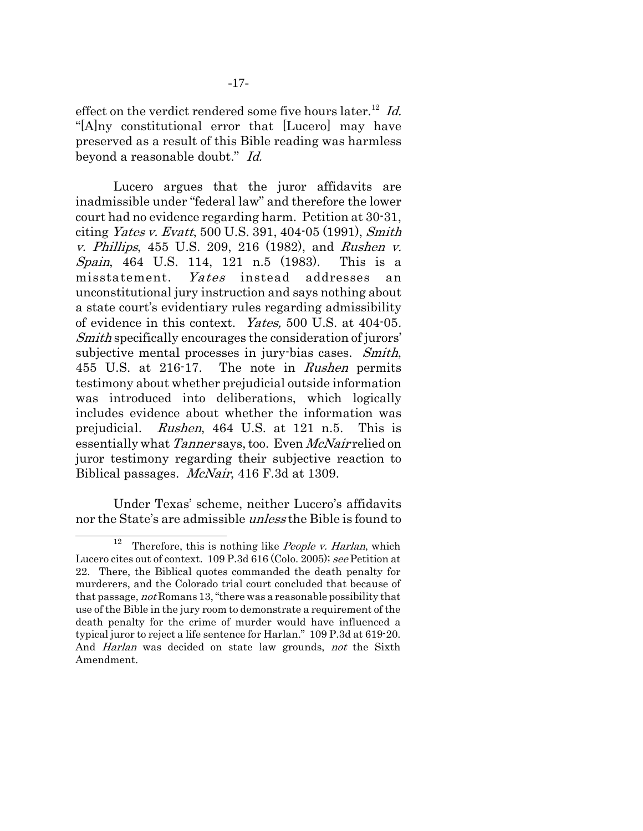beyond a reasonable doubt." Id.

Lucero argues that the juror affidavits are inadmissible under "federal law" and therefore the lower court had no evidence regarding harm. Petition at 30-31, citing Yates v. Evatt, 500 U.S. 391, 404-05 (1991), Smith v. Phillips, 455 U.S. 209, 216 (1982), and Rushen v. Spain, 464 U.S. 114, 121 n.5 (1983). This is a misstatement. Yates instead addresses an unconstitutional jury instruction and says nothing about a state court's evidentiary rules regarding admissibility of evidence in this context. Yates, 500 U.S. at 404-05. Smith specifically encourages the consideration of jurors' subjective mental processes in jury-bias cases. Smith, 455 U.S. at 216-17. The note in Rushen permits testimony about whether prejudicial outside information was introduced into deliberations, which logically includes evidence about whether the information was prejudicial. Rushen, 464 U.S. at 121 n.5. This is essentially what Tanner says, too. Even McNair relied on juror testimony regarding their subjective reaction to Biblical passages. McNair, 416 F.3d at 1309.

Under Texas' scheme, neither Lucero's affidavits nor the State's are admissible unless the Bible is found to

<sup>&</sup>lt;sup>12</sup> Therefore, this is nothing like *People v. Harlan*, which Lucero cites out of context. 109 P.3d 616 (Colo. 2005); see Petition at 22. There, the Biblical quotes commanded the death penalty for murderers, and the Colorado trial court concluded that because of that passage, not Romans 13, "there was a reasonable possibility that use of the Bible in the jury room to demonstrate a requirement of the death penalty for the crime of murder would have influenced a typical juror to reject a life sentence for Harlan." 109 P.3d at 619-20. And *Harlan* was decided on state law grounds, *not* the Sixth Amendment.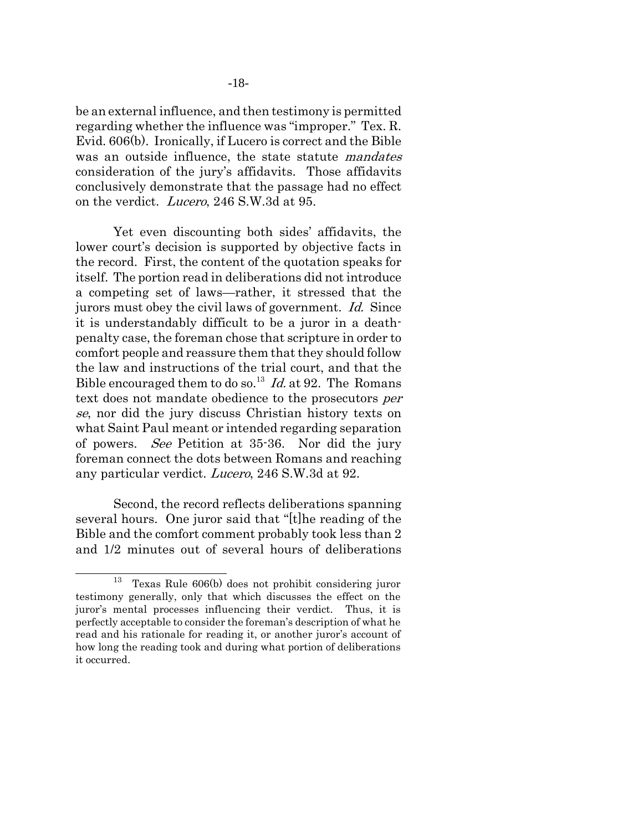be an external influence, and then testimony is permitted regarding whether the influence was "improper." Tex. R. Evid. 606(b). Ironically, if Lucero is correct and the Bible was an outside influence, the state statute *mandates* consideration of the jury's affidavits. Those affidavits conclusively demonstrate that the passage had no effect on the verdict. Lucero, 246 S.W.3d at 95.

Yet even discounting both sides' affidavits, the lower court's decision is supported by objective facts in the record. First, the content of the quotation speaks for itself. The portion read in deliberations did not introduce a competing set of laws—rather, it stressed that the jurors must obey the civil laws of government. Id. Since it is understandably difficult to be a juror in a deathpenalty case, the foreman chose that scripture in order to comfort people and reassure them that they should follow the law and instructions of the trial court, and that the Bible encouraged them to do so.<sup>13</sup> Id. at 92. The Romans text does not mandate obedience to the prosecutors per se, nor did the jury discuss Christian history texts on what Saint Paul meant or intended regarding separation of powers. See Petition at 35-36. Nor did the jury foreman connect the dots between Romans and reaching any particular verdict. Lucero, 246 S.W.3d at 92.

Second, the record reflects deliberations spanning several hours. One juror said that "[t]he reading of the Bible and the comfort comment probably took less than 2 and 1/2 minutes out of several hours of deliberations

<sup>13</sup> Texas Rule 606(b) does not prohibit considering juror testimony generally, only that which discusses the effect on the juror's mental processes influencing their verdict. Thus, it is perfectly acceptable to consider the foreman's description of what he read and his rationale for reading it, or another juror's account of how long the reading took and during what portion of deliberations it occurred.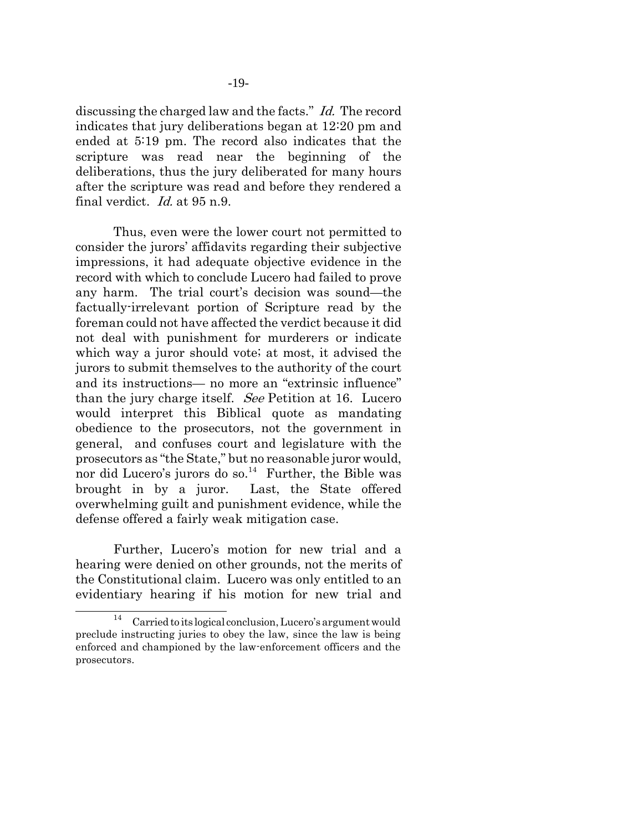discussing the charged law and the facts." Id. The record indicates that jury deliberations began at 12:20 pm and ended at 5:19 pm. The record also indicates that the scripture was read near the beginning of the deliberations, thus the jury deliberated for many hours after the scripture was read and before they rendered a final verdict. Id. at 95 n.9.

Thus, even were the lower court not permitted to consider the jurors' affidavits regarding their subjective impressions, it had adequate objective evidence in the record with which to conclude Lucero had failed to prove any harm. The trial court's decision was sound—the factually-irrelevant portion of Scripture read by the foreman could not have affected the verdict because it did not deal with punishment for murderers or indicate which way a juror should vote; at most, it advised the jurors to submit themselves to the authority of the court and its instructions— no more an "extrinsic influence" than the jury charge itself. See Petition at 16. Lucero would interpret this Biblical quote as mandating obedience to the prosecutors, not the government in general, and confuses court and legislature with the prosecutors as "the State," but no reasonable juror would, nor did Lucero's jurors do so. $14$  Further, the Bible was brought in by a juror. Last, the State offered overwhelming guilt and punishment evidence, while the defense offered a fairly weak mitigation case.

Further, Lucero's motion for new trial and a hearing were denied on other grounds, not the merits of the Constitutional claim. Lucero was only entitled to an evidentiary hearing if his motion for new trial and

 $14$  Carried to its logical conclusion, Lucero's argument would preclude instructing juries to obey the law, since the law is being enforced and championed by the law-enforcement officers and the prosecutors.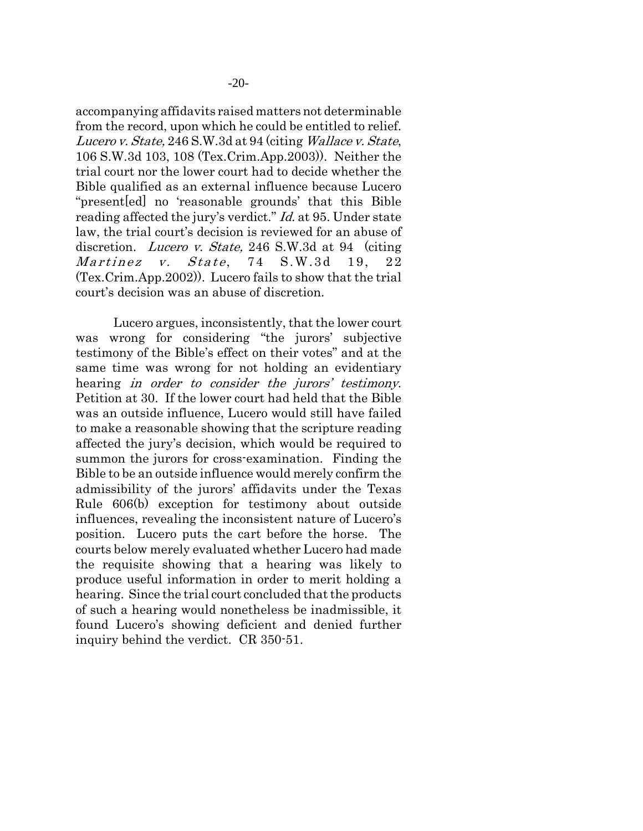accompanying affidavits raised matters not determinable from the record, upon which he could be entitled to relief. Lucero v. State, 246 S.W.3d at 94 (citing Wallace v. State, 106 S.W.3d 103, 108 (Tex.Crim.App.2003)). Neither the trial court nor the lower court had to decide whether the Bible qualified as an external influence because Lucero "present[ed] no 'reasonable grounds' that this Bible reading affected the jury's verdict." *Id.* at 95. Under state law, the trial court's decision is reviewed for an abuse of discretion. Lucero v. State, 246 S.W.3d at 94 (citing  $Martinez$  v.  $State$ , 74  $S.W.3d$  19, 22 (Tex.Crim.App.2002)). Lucero fails to show that the trial court's decision was an abuse of discretion.

Lucero argues, inconsistently, that the lower court was wrong for considering "the jurors' subjective testimony of the Bible's effect on their votes" and at the same time was wrong for not holding an evidentiary hearing *in order to consider the jurors' testimony*. Petition at 30. If the lower court had held that the Bible was an outside influence, Lucero would still have failed to make a reasonable showing that the scripture reading affected the jury's decision, which would be required to summon the jurors for cross-examination. Finding the Bible to be an outside influence would merely confirm the admissibility of the jurors' affidavits under the Texas Rule 606(b) exception for testimony about outside influences, revealing the inconsistent nature of Lucero's position. Lucero puts the cart before the horse. The courts below merely evaluated whether Lucero had made the requisite showing that a hearing was likely to produce useful information in order to merit holding a hearing. Since the trial court concluded that the products of such a hearing would nonetheless be inadmissible, it found Lucero's showing deficient and denied further inquiry behind the verdict. CR 350-51.